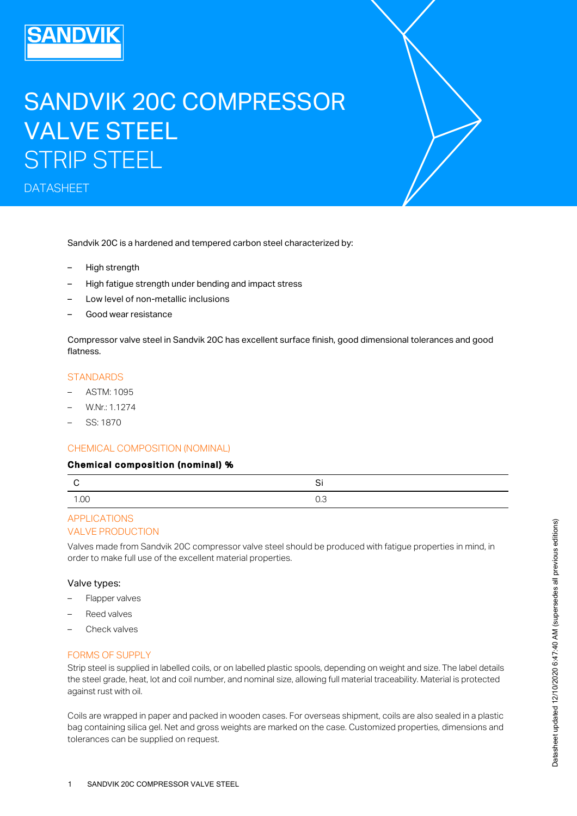# SANDVIK 20C COMPRESSOR VALVE STEEL STRIP STEEL

DATASHEET

Sandvik 20C is a hardened and tempered carbon steel characterized by:

- High strength
- High fatigue strength under bending and impact stress
- Low level of non-metallic inclusions
- Good wear resistance

Compressor valve steel in Sandvik 20C has excellent surface finish, good dimensional tolerances and good flatness.

#### **STANDARDS**

- ASTM: 1095
- W.Nr.: 1.1274
- SS: 1870

#### CHEMICAL COMPOSITION (NOMINAL)

#### Chemical composition (nominal) %

|      | r   |
|------|-----|
| 1.00 | U.J |

## VALVE PRODUCTION APPLICATIONS

Valves made from Sandvik 20C compressor valve steel should be produced with fatigue properties in mind, in order to make full use of the excellent material properties.

#### Valve types:

- Flapper valves
- Reed valves
- Check valves

#### FORMS OF SUPPLY

Strip steel is supplied in labelled coils, or on labelled plastic spools, depending on weight and size. The label details the steel grade, heat, lot and coil number, and nominal size, allowing full material traceability. Material is protected against rust with oil.

Coils are wrapped in paper and packed in wooden cases. For overseas shipment, coils are also sealed in a plastic bag containing silica gel. Net and gross weights are marked on the case. Customized properties, dimensions and tolerances can be supplied on request.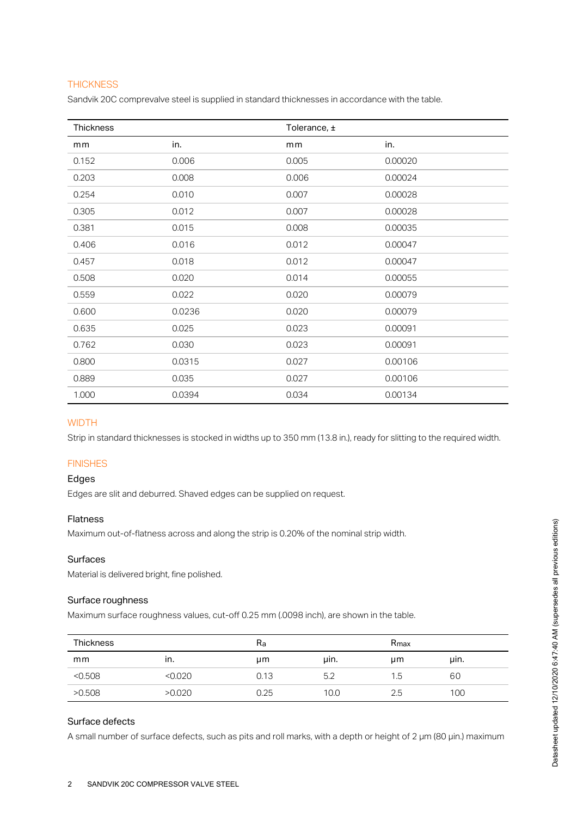## **THICKNESS**

Sandvik 20C comprevalve steel is supplied in standard thicknesses in accordance with the table.

| Thickness |        | Tolerance, ± |         |
|-----------|--------|--------------|---------|
| mm        | in.    | mm           | in.     |
| 0.152     | 0.006  | 0.005        | 0.00020 |
| 0.203     | 0.008  | 0.006        | 0.00024 |
| 0.254     | 0.010  | 0.007        | 0.00028 |
| 0.305     | 0.012  | 0.007        | 0.00028 |
| 0.381     | 0.015  | 0.008        | 0.00035 |
| 0.406     | 0.016  | 0.012        | 0.00047 |
| 0.457     | 0.018  | 0.012        | 0.00047 |
| 0.508     | 0.020  | 0.014        | 0.00055 |
| 0.559     | 0.022  | 0.020        | 0.00079 |
| 0.600     | 0.0236 | 0.020        | 0.00079 |
| 0.635     | 0.025  | 0.023        | 0.00091 |
| 0.762     | 0.030  | 0.023        | 0.00091 |
| 0.800     | 0.0315 | 0.027        | 0.00106 |
| 0.889     | 0.035  | 0.027        | 0.00106 |
| 1.000     | 0.0394 | 0.034        | 0.00134 |

## **WIDTH**

Strip in standard thicknesses is stocked in widths up to 350 mm (13.8 in.), ready for slitting to the required width.

# FINISHES

#### Edges

Edges are slit and deburred. Shaved edges can be supplied on request.

#### Flatness

Maximum out-of-flatness across and along the strip is 0.20% of the nominal strip width.

## Surfaces

Material is delivered bright, fine polished.

#### Surface roughness

Maximum surface roughness values, cut-off 0.25 mm (.0098 inch), are shown in the table.

| <b>Thickness</b> |         | Ra   |      | $R_{\text{max}}$ |      |
|------------------|---------|------|------|------------------|------|
| mm               | ın.     | μm   | uin. | μm               | uin. |
| < 0.508          | < 0.020 | 0.13 | 5.2  | 1.5              | 60   |
| >0.508           | >0.020  | 0.25 | 10.0 | 2.5              | 100  |

# Surface defects

A small number of surface defects, such as pits and roll marks, with a depth or height of 2 µm (80 µin.) maximum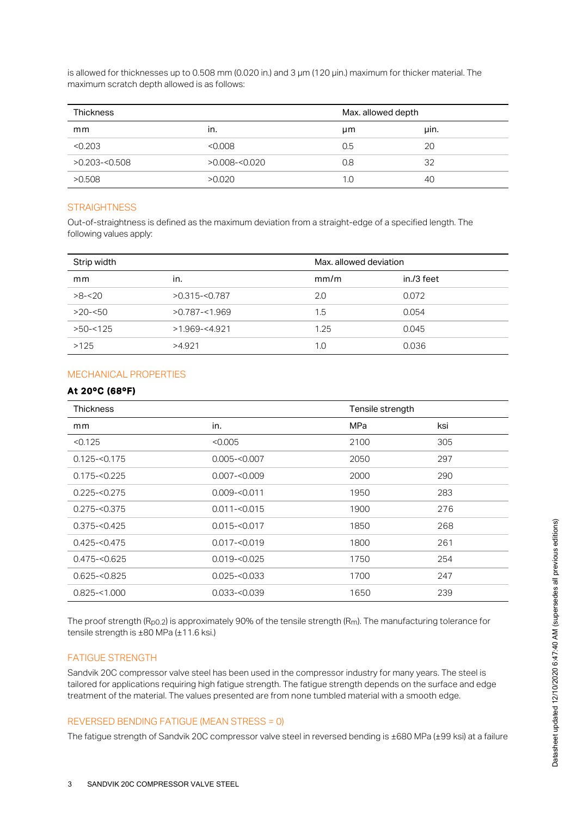is allowed for thicknesses up to 0.508 mm (0.020 in.) and 3 µm (120 µin.) maximum for thicker material. The maximum scratch depth allowed is as follows:

| <b>Thickness</b> |                  | Max. allowed depth |      |
|------------------|------------------|--------------------|------|
| mm               | ın.              | μm                 | uin. |
| < 0.203          | < 0.008          | 0.5                | 20   |
| $>0.203 - 0.508$ | $>0.008 - 0.020$ | 0.8                | 32   |
| >0.508           | >0.020           | 1.0                | 40   |

## **STRAIGHTNESS**

Out-of-straightness is defined as the maximum deviation from a straight-edge of a specified length. The following values apply:

| Strip width |                  | Max, allowed deviation |            |
|-------------|------------------|------------------------|------------|
| mm          | in.              | mm/m                   | in./3 feet |
| $>8 - 20$   | $>0.315 - 0.787$ | 2.0                    | 0.072      |
| $>20 - 50$  | $>0.787 - 1.969$ | 1.5                    | 0.054      |
| $>50 - 125$ | $>1.969 - 4.921$ | 1.25                   | 0.045      |
| >125        | >4.921           | 1.0                    | 0.036      |

## MECHANICAL PROPERTIES

#### At 20ºC (68ºF)

| <b>Thickness</b> |                 | Tensile strength |     |
|------------------|-----------------|------------------|-----|
| mm               | in.             | MPa              | ksi |
| < 0.125          | < 0.005         | 2100             | 305 |
| $0.125 - 0.175$  | $0.005 - 0.007$ | 2050             | 297 |
| $0.175 - 0.225$  | $0.007 - 0.009$ | 2000             | 290 |
| $0.225 - 0.275$  | $0.009 - 0.011$ | 1950             | 283 |
| $0.275 - 0.375$  | $0.011 - 0.015$ | 1900             | 276 |
| $0.375 - 0.425$  | $0.015 - 0.017$ | 1850             | 268 |
| $0.425 - 0.475$  | $0.017 - 0.019$ | 1800             | 261 |
| $0.475 - 0.625$  | $0.019 - 0.025$ | 1750             | 254 |
| $0.625 - 0.825$  | $0.025 - 0.033$ | 1700             | 247 |
| $0.825 - 1.000$  | $0.033 - 0.039$ | 1650             | 239 |

The proof strength (R<sub>p0.2</sub>) is approximately 90% of the tensile strength (R<sub>m</sub>). The manufacturing tolerance for tensile strength is ±80 MPa (±11.6 ksi.)

#### FATIGUE STRENGTH

Sandvik 20C compressor valve steel has been used in the compressor industry for many years. The steel is tailored for applications requiring high fatigue strength. The fatigue strength depends on the surface and edge treatment of the material. The values presented are from none tumbled material with a smooth edge.

## REVERSED BENDING FATIGUE (MEAN STRESS = 0)

The fatigue strength of Sandvik 20C compressor valve steel in reversed bending is ±680 MPa (±99 ksi) at a failure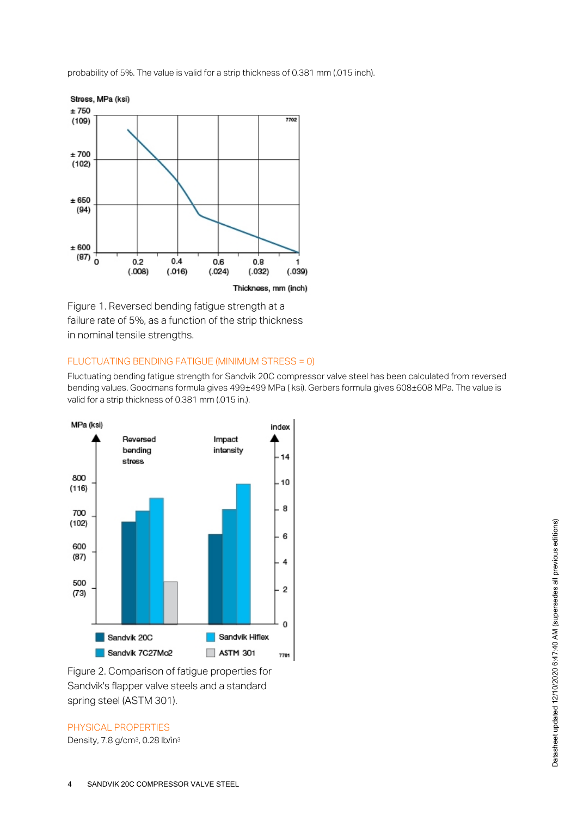probability of 5%. The value is valid for a strip thickness of 0.381 mm (.015 inch).



Figure 1. Reversed bending fatigue strength at a failure rate of 5%, as a function of the strip thickness in nominal tensile strengths.

#### FLUCTUATING BENDING FATIGUE (MINIMUM STRESS = 0)

Fluctuating bending fatigue strength for Sandvik 20C compressor valve steel has been calculated from reversed bending values. Goodmans formula gives 499±499 MPa (ksi). Gerbers formula gives 608±608 MPa. The value is valid for a strip thickness of 0.381 mm (.015 in.).



Figure 2. Comparison of fatigue properties for Sandvik's flapper valve steels and a standard spring steel (ASTM 301).

PHYSICAL PROPERTIES

Density, 7.8 g/cm<sup>3</sup>, 0.28 lb/in<sup>3</sup>